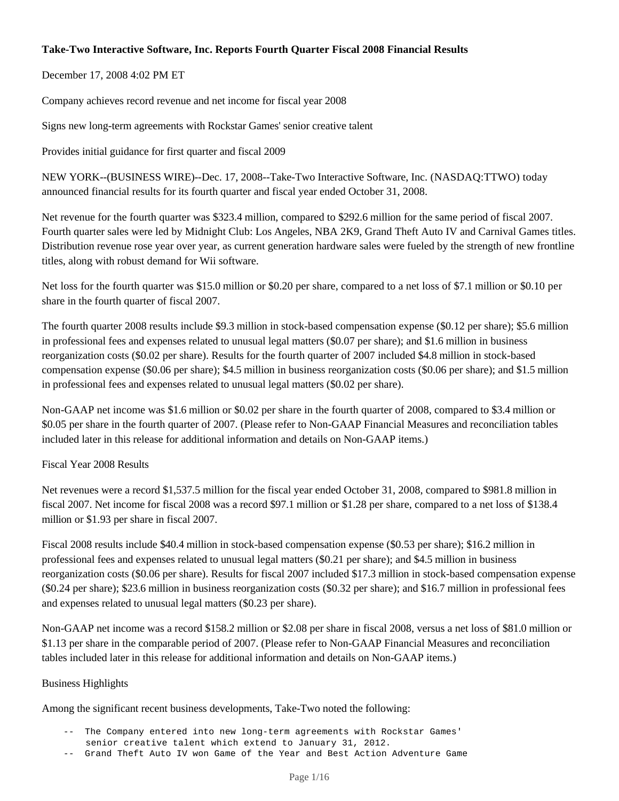# **Take-Two Interactive Software, Inc. Reports Fourth Quarter Fiscal 2008 Financial Results**

# December 17, 2008 4:02 PM ET

Company achieves record revenue and net income for fiscal year 2008

Signs new long-term agreements with Rockstar Games' senior creative talent

Provides initial guidance for first quarter and fiscal 2009

NEW YORK--(BUSINESS WIRE)--Dec. 17, 2008--Take-Two Interactive Software, Inc. (NASDAQ:TTWO) today announced financial results for its fourth quarter and fiscal year ended October 31, 2008.

Net revenue for the fourth quarter was \$323.4 million, compared to \$292.6 million for the same period of fiscal 2007. Fourth quarter sales were led by Midnight Club: Los Angeles, NBA 2K9, Grand Theft Auto IV and Carnival Games titles. Distribution revenue rose year over year, as current generation hardware sales were fueled by the strength of new frontline titles, along with robust demand for Wii software.

Net loss for the fourth quarter was \$15.0 million or \$0.20 per share, compared to a net loss of \$7.1 million or \$0.10 per share in the fourth quarter of fiscal 2007.

The fourth quarter 2008 results include \$9.3 million in stock-based compensation expense (\$0.12 per share); \$5.6 million in professional fees and expenses related to unusual legal matters (\$0.07 per share); and \$1.6 million in business reorganization costs (\$0.02 per share). Results for the fourth quarter of 2007 included \$4.8 million in stock-based compensation expense (\$0.06 per share); \$4.5 million in business reorganization costs (\$0.06 per share); and \$1.5 million in professional fees and expenses related to unusual legal matters (\$0.02 per share).

Non-GAAP net income was \$1.6 million or \$0.02 per share in the fourth quarter of 2008, compared to \$3.4 million or \$0.05 per share in the fourth quarter of 2007. (Please refer to Non-GAAP Financial Measures and reconciliation tables included later in this release for additional information and details on Non-GAAP items.)

Fiscal Year 2008 Results

Net revenues were a record \$1,537.5 million for the fiscal year ended October 31, 2008, compared to \$981.8 million in fiscal 2007. Net income for fiscal 2008 was a record \$97.1 million or \$1.28 per share, compared to a net loss of \$138.4 million or \$1.93 per share in fiscal 2007.

Fiscal 2008 results include \$40.4 million in stock-based compensation expense (\$0.53 per share); \$16.2 million in professional fees and expenses related to unusual legal matters (\$0.21 per share); and \$4.5 million in business reorganization costs (\$0.06 per share). Results for fiscal 2007 included \$17.3 million in stock-based compensation expense (\$0.24 per share); \$23.6 million in business reorganization costs (\$0.32 per share); and \$16.7 million in professional fees and expenses related to unusual legal matters (\$0.23 per share).

Non-GAAP net income was a record \$158.2 million or \$2.08 per share in fiscal 2008, versus a net loss of \$81.0 million or \$1.13 per share in the comparable period of 2007. (Please refer to Non-GAAP Financial Measures and reconciliation tables included later in this release for additional information and details on Non-GAAP items.)

## Business Highlights

Among the significant recent business developments, Take-Two noted the following:

- -- The Company entered into new long-term agreements with Rockstar Games' senior creative talent which extend to January 31, 2012.
- -- Grand Theft Auto IV won Game of the Year and Best Action Adventure Game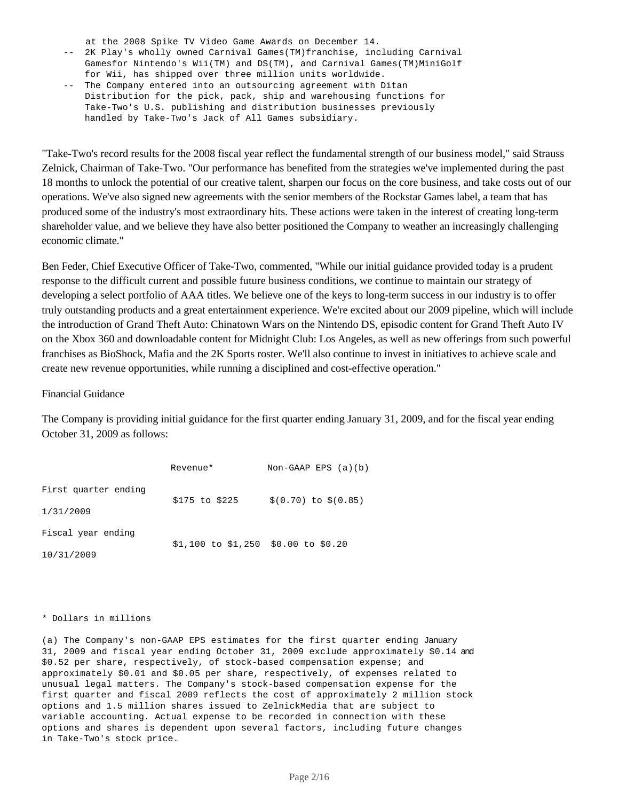at the 2008 Spike TV Video Game Awards on December 14.

- -- 2K Play's wholly owned Carnival Games(TM)franchise, including Carnival Gamesfor Nintendo's Wii(TM) and DS(TM), and Carnival Games(TM)MiniGolf for Wii, has shipped over three million units worldwide.
- -- The Company entered into an outsourcing agreement with Ditan Distribution for the pick, pack, ship and warehousing functions for Take-Two's U.S. publishing and distribution businesses previously handled by Take-Two's Jack of All Games subsidiary.

"Take-Two's record results for the 2008 fiscal year reflect the fundamental strength of our business model," said Strauss Zelnick, Chairman of Take-Two. "Our performance has benefited from the strategies we've implemented during the past 18 months to unlock the potential of our creative talent, sharpen our focus on the core business, and take costs out of our operations. We've also signed new agreements with the senior members of the Rockstar Games label, a team that has produced some of the industry's most extraordinary hits. These actions were taken in the interest of creating long-term shareholder value, and we believe they have also better positioned the Company to weather an increasingly challenging economic climate."

Ben Feder, Chief Executive Officer of Take-Two, commented, "While our initial guidance provided today is a prudent response to the difficult current and possible future business conditions, we continue to maintain our strategy of developing a select portfolio of AAA titles. We believe one of the keys to long-term success in our industry is to offer truly outstanding products and a great entertainment experience. We're excited about our 2009 pipeline, which will include the introduction of Grand Theft Auto: Chinatown Wars on the Nintendo DS, episodic content for Grand Theft Auto IV on the Xbox 360 and downloadable content for Midnight Club: Los Angeles, as well as new offerings from such powerful franchises as BioShock, Mafia and the 2K Sports roster. We'll also continue to invest in initiatives to achieve scale and create new revenue opportunities, while running a disciplined and cost-effective operation."

### Financial Guidance

The Company is providing initial guidance for the first quarter ending January 31, 2009, and for the fiscal year ending October 31, 2009 as follows:

|                      | Revenue*                              | Non-GAAP EPS $(a)(b)$  |  |
|----------------------|---------------------------------------|------------------------|--|
| First quarter ending |                                       |                        |  |
| 1/31/2009            | \$175 to \$225                        | $$(0.70)$ to $$(0.85)$ |  |
| Fiscal year ending   | $$1,100$ to $$1,250$ \$0.00 to \$0.20 |                        |  |
| 10/31/2009           |                                       |                        |  |

#### \* Dollars in millions

(a) The Company's non-GAAP EPS estimates for the first quarter ending January 31, 2009 and fiscal year ending October 31, 2009 exclude approximately \$0.14 and \$0.52 per share, respectively, of stock-based compensation expense; and approximately \$0.01 and \$0.05 per share, respectively, of expenses related to unusual legal matters. The Company's stock-based compensation expense for the first quarter and fiscal 2009 reflects the cost of approximately 2 million stock options and 1.5 million shares issued to ZelnickMedia that are subject to variable accounting. Actual expense to be recorded in connection with these options and shares is dependent upon several factors, including future changes in Take-Two's stock price.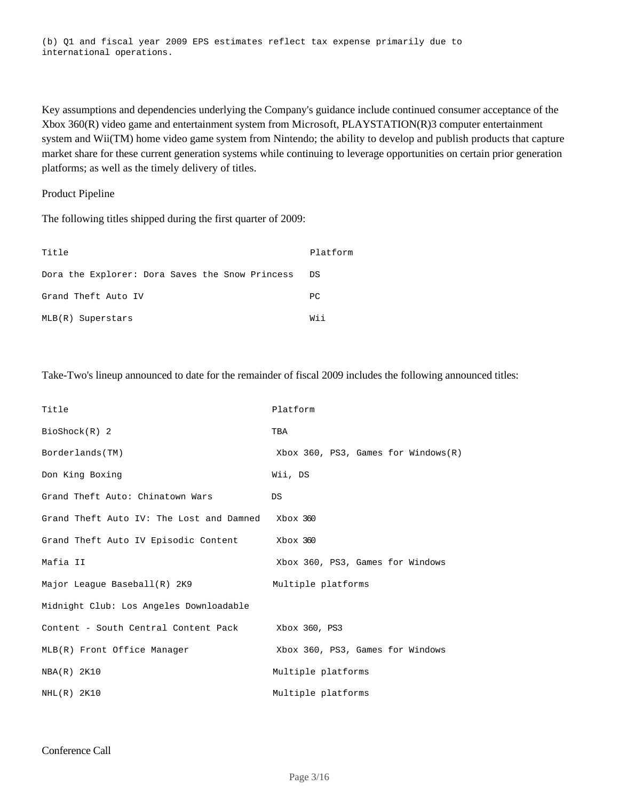(b) Q1 and fiscal year 2009 EPS estimates reflect tax expense primarily due to international operations.

Key assumptions and dependencies underlying the Company's guidance include continued consumer acceptance of the Xbox 360(R) video game and entertainment system from Microsoft, PLAYSTATION(R)3 computer entertainment system and Wii(TM) home video game system from Nintendo; the ability to develop and publish products that capture market share for these current generation systems while continuing to leverage opportunities on certain prior generation platforms; as well as the timely delivery of titles.

### Product Pipeline

The following titles shipped during the first quarter of 2009:

| Title                                           | Platform |
|-------------------------------------------------|----------|
| Dora the Explorer: Dora Saves the Snow Princess | D.S      |
| Grand Theft Auto IV                             | PC       |
| MLB(R) Superstars                               | Wii      |

Take-Two's lineup announced to date for the remainder of fiscal 2009 includes the following announced titles:

| Title                                    | Platform                                  |
|------------------------------------------|-------------------------------------------|
| $Bioshock(R)$ 2                          | TBA                                       |
| Borderlands(TM)                          | $Xbox 360$ , PS3, Games for Windows $(R)$ |
| Don King Boxing                          | Wii, DS                                   |
| Grand Theft Auto: Chinatown Wars         | DS                                        |
| Grand Theft Auto IV: The Lost and Damned | Xbox 360                                  |
| Grand Theft Auto IV Episodic Content     | Xbox 360                                  |
| Mafia II                                 | Xbox 360, PS3, Games for Windows          |
| Major League Baseball(R) 2K9             | Multiple platforms                        |
| Midnight Club: Los Angeles Downloadable  |                                           |
| Content - South Central Content Pack     | Xbox 360, PS3                             |
| MLB(R) Front Office Manager              | Xbox 360, PS3, Games for Windows          |
| NBA(R) 2K10                              | Multiple platforms                        |
| $NHL(R)$ 2K10                            | Multiple platforms                        |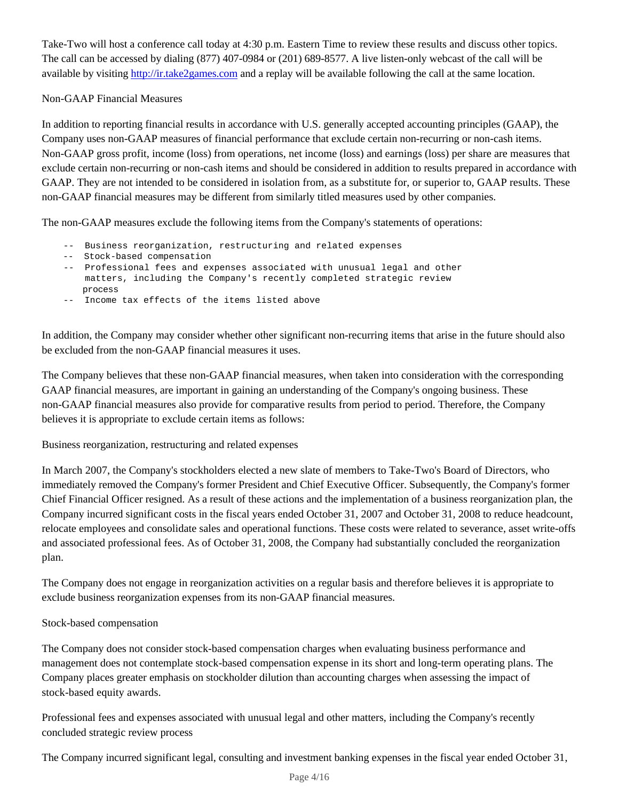Take-Two will host a conference call today at 4:30 p.m. Eastern Time to review these results and discuss other topics. The call can be accessed by dialing (877) 407-0984 or (201) 689-8577. A live listen-only webcast of the call will be available by visiting http://ir.take2games.com and a replay will be available following the call at the same location.

# Non-GAAP Financial Measures

In addition to reporting financial results in accordance with U.S. generally accepted accounting principles (GAAP), the Company uses non-GAAP measures of financial performance that exclude certain non-recurring or non-cash items. Non-GAAP gross profit, income (loss) from operations, net income (loss) and earnings (loss) per share are measures that exclude certain non-recurring or non-cash items and should be considered in addition to results prepared in accordance with GAAP. They are not intended to be considered in isolation from, as a substitute for, or superior to, GAAP results. These non-GAAP financial measures may be different from similarly titled measures used by other companies.

The non-GAAP measures exclude the following items from the Company's statements of operations:

- -- Business reorganization, restructuring and related expenses
- -- Stock-based compensation
- -- Professional fees and expenses associated with unusual legal and other matters, including the Company's recently completed strategic review process
- -- Income tax effects of the items listed above

In addition, the Company may consider whether other significant non-recurring items that arise in the future should also be excluded from the non-GAAP financial measures it uses.

The Company believes that these non-GAAP financial measures, when taken into consideration with the corresponding GAAP financial measures, are important in gaining an understanding of the Company's ongoing business. These non-GAAP financial measures also provide for comparative results from period to period. Therefore, the Company believes it is appropriate to exclude certain items as follows:

Business reorganization, restructuring and related expenses

In March 2007, the Company's stockholders elected a new slate of members to Take-Two's Board of Directors, who immediately removed the Company's former President and Chief Executive Officer. Subsequently, the Company's former Chief Financial Officer resigned. As a result of these actions and the implementation of a business reorganization plan, the Company incurred significant costs in the fiscal years ended October 31, 2007 and October 31, 2008 to reduce headcount, relocate employees and consolidate sales and operational functions. These costs were related to severance, asset write-offs and associated professional fees. As of October 31, 2008, the Company had substantially concluded the reorganization plan.

The Company does not engage in reorganization activities on a regular basis and therefore believes it is appropriate to exclude business reorganization expenses from its non-GAAP financial measures.

# Stock-based compensation

The Company does not consider stock-based compensation charges when evaluating business performance and management does not contemplate stock-based compensation expense in its short and long-term operating plans. The Company places greater emphasis on stockholder dilution than accounting charges when assessing the impact of stock-based equity awards.

Professional fees and expenses associated with unusual legal and other matters, including the Company's recently concluded strategic review process

The Company incurred significant legal, consulting and investment banking expenses in the fiscal year ended October 31,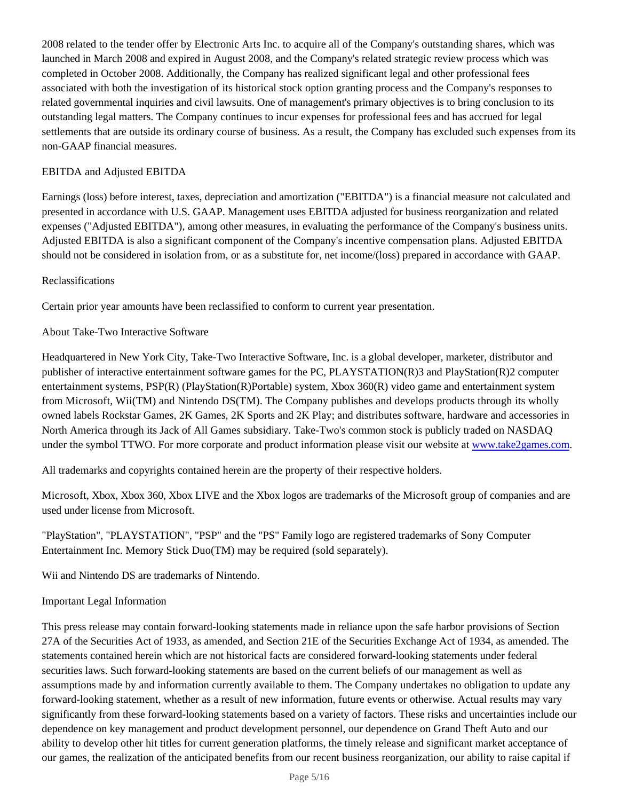2008 related to the tender offer by Electronic Arts Inc. to acquire all of the Company's outstanding shares, which was launched in March 2008 and expired in August 2008, and the Company's related strategic review process which was completed in October 2008. Additionally, the Company has realized significant legal and other professional fees associated with both the investigation of its historical stock option granting process and the Company's responses to related governmental inquiries and civil lawsuits. One of management's primary objectives is to bring conclusion to its outstanding legal matters. The Company continues to incur expenses for professional fees and has accrued for legal settlements that are outside its ordinary course of business. As a result, the Company has excluded such expenses from its non-GAAP financial measures.

## EBITDA and Adjusted EBITDA

Earnings (loss) before interest, taxes, depreciation and amortization ("EBITDA") is a financial measure not calculated and presented in accordance with U.S. GAAP. Management uses EBITDA adjusted for business reorganization and related expenses ("Adjusted EBITDA"), among other measures, in evaluating the performance of the Company's business units. Adjusted EBITDA is also a significant component of the Company's incentive compensation plans. Adjusted EBITDA should not be considered in isolation from, or as a substitute for, net income/(loss) prepared in accordance with GAAP.

# Reclassifications

Certain prior year amounts have been reclassified to conform to current year presentation.

# About Take-Two Interactive Software

Headquartered in New York City, Take-Two Interactive Software, Inc. is a global developer, marketer, distributor and publisher of interactive entertainment software games for the PC, PLAYSTATION(R)3 and PlayStation(R)2 computer entertainment systems, PSP(R) (PlayStation(R)Portable) system, Xbox 360(R) video game and entertainment system from Microsoft, Wii(TM) and Nintendo DS(TM). The Company publishes and develops products through its wholly owned labels Rockstar Games, 2K Games, 2K Sports and 2K Play; and distributes software, hardware and accessories in North America through its Jack of All Games subsidiary. Take-Two's common stock is publicly traded on NASDAQ under the symbol TTWO. For more corporate and product information please visit our website at www.take2games.com.

All trademarks and copyrights contained herein are the property of their respective holders.

Microsoft, Xbox, Xbox 360, Xbox LIVE and the Xbox logos are trademarks of the Microsoft group of companies and are used under license from Microsoft.

"PlayStation", "PLAYSTATION", "PSP" and the "PS" Family logo are registered trademarks of Sony Computer Entertainment Inc. Memory Stick Duo(TM) may be required (sold separately).

Wii and Nintendo DS are trademarks of Nintendo.

## Important Legal Information

This press release may contain forward-looking statements made in reliance upon the safe harbor provisions of Section 27A of the Securities Act of 1933, as amended, and Section 21E of the Securities Exchange Act of 1934, as amended. The statements contained herein which are not historical facts are considered forward-looking statements under federal securities laws. Such forward-looking statements are based on the current beliefs of our management as well as assumptions made by and information currently available to them. The Company undertakes no obligation to update any forward-looking statement, whether as a result of new information, future events or otherwise. Actual results may vary significantly from these forward-looking statements based on a variety of factors. These risks and uncertainties include our dependence on key management and product development personnel, our dependence on Grand Theft Auto and our ability to develop other hit titles for current generation platforms, the timely release and significant market acceptance of our games, the realization of the anticipated benefits from our recent business reorganization, our ability to raise capital if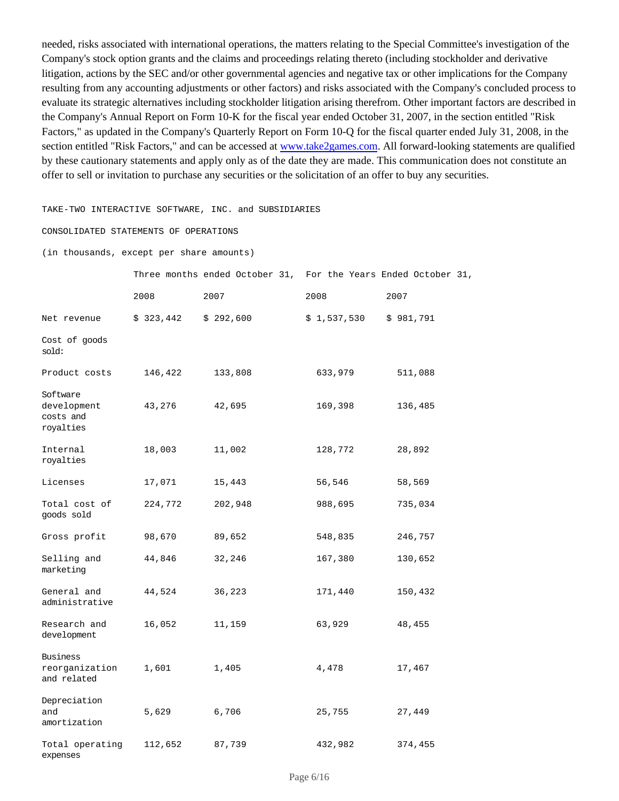needed, risks associated with international operations, the matters relating to the Special Committee's investigation of the Company's stock option grants and the claims and proceedings relating thereto (including stockholder and derivative litigation, actions by the SEC and/or other governmental agencies and negative tax or other implications for the Company resulting from any accounting adjustments or other factors) and risks associated with the Company's concluded process to evaluate its strategic alternatives including stockholder litigation arising therefrom. Other important factors are described in the Company's Annual Report on Form 10-K for the fiscal year ended October 31, 2007, in the section entitled "Risk Factors," as updated in the Company's Quarterly Report on Form 10-Q for the fiscal quarter ended July 31, 2008, in the section entitled "Risk Factors," and can be accessed at www.take2games.com. All forward-looking statements are qualified by these cautionary statements and apply only as of the date they are made. This communication does not constitute an offer to sell or invitation to purchase any securities or the solicitation of an offer to buy any securities.

### TAKE-TWO INTERACTIVE SOFTWARE, INC. and SUBSIDIARIES

### CONSOLIDATED STATEMENTS OF OPERATIONS

#### (in thousands, except per share amounts)

|                                                   |           | Three months ended October 31, For the Years Ended October 31, |             |           |
|---------------------------------------------------|-----------|----------------------------------------------------------------|-------------|-----------|
|                                                   | 2008      | 2007                                                           | 2008        | 2007      |
| Net revenue                                       | \$323,442 | \$292,600                                                      | \$1,537,530 | \$981,791 |
| Cost of goods<br>sold:                            |           |                                                                |             |           |
| Product costs                                     | 146,422   | 133,808                                                        | 633,979     | 511,088   |
| Software<br>development<br>costs and<br>royalties | 43,276    | 42,695                                                         | 169,398     | 136,485   |
| Internal<br>royalties                             | 18,003    | 11,002                                                         | 128,772     | 28,892    |
| Licenses                                          | 17,071    | 15,443                                                         | 56,546      | 58,569    |
| Total cost of<br>goods sold                       | 224,772   | 202,948                                                        | 988,695     | 735,034   |
| Gross profit                                      | 98,670    | 89,652                                                         | 548,835     | 246,757   |
| Selling and<br>marketing                          | 44,846    | 32,246                                                         | 167,380     | 130,652   |
| General and<br>administrative                     | 44,524    | 36,223                                                         | 171,440     | 150,432   |
| Research and<br>development                       | 16,052    | 11,159                                                         | 63,929      | 48,455    |
| <b>Business</b><br>reorganization<br>and related  | 1,601     | 1,405                                                          | 4,478       | 17,467    |
| Depreciation<br>and<br>amortization               | 5,629     | 6,706                                                          | 25,755      | 27,449    |
| Total operating<br>expenses                       | 112,652   | 87,739                                                         | 432,982     | 374,455   |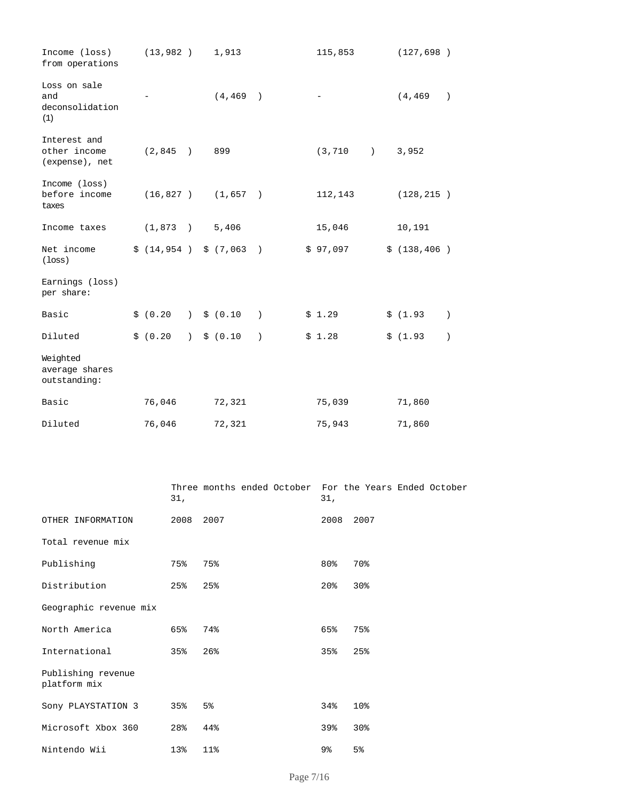| Income (loss)<br>from operations               | (13, 982)              |                                                 | 1,913                  |               | 115,853  |                  | (127, 698)   |                  |
|------------------------------------------------|------------------------|-------------------------------------------------|------------------------|---------------|----------|------------------|--------------|------------------|
| Loss on sale<br>and<br>deconsolidation<br>(1)  |                        |                                                 | (4, 469)               |               |          |                  | (4, 469)     | $\lambda$        |
| Interest and<br>other income<br>(expense), net | (2,845)                | $\rightarrow$                                   | 899                    |               | (3, 710) | $\left( \right)$ | 3,952        |                  |
| Income (loss)<br>before income<br>taxes        |                        |                                                 | $(16, 827)$ $(1, 657)$ |               | 112,143  |                  | (128, 215)   |                  |
| Income taxes                                   | $(1,873)$ 5,406        |                                                 |                        |               | 15,046   |                  | 10,191       |                  |
| Net income<br>$($ loss $)$                     | \$(14, 954) \$(7, 063) |                                                 |                        | $\rightarrow$ | \$97,097 |                  | \$(138, 406) |                  |
| Earnings (loss)<br>per share:                  |                        |                                                 |                        |               |          |                  |              |                  |
| Basic                                          | \$ (0.20)              | $\left( \begin{array}{c} 1 \end{array} \right)$ | \$ (0.10)              | $\lambda$     | \$1.29   |                  | \$(1.93)     | $\lambda$        |
| Diluted                                        | \$ (0.20)              | $\left( \begin{array}{c} 1 \end{array} \right)$ | \$ (0.10)              | $\lambda$     | \$1.28   |                  | \$(1.93)     | $\left( \right)$ |
| Weighted<br>average shares<br>outstanding:     |                        |                                                 |                        |               |          |                  |              |                  |
| Basic                                          | 76,046                 |                                                 | 72,321                 |               | 75,039   |                  | 71,860       |                  |
| Diluted                                        | 76,046                 |                                                 | 72,321                 |               | 75,943   |                  | 71,860       |                  |

|                                    | 31,       | Three months ended October For the Years Ended October | 31,             |      |
|------------------------------------|-----------|--------------------------------------------------------|-----------------|------|
| OTHER INFORMATION                  | 2008 2007 |                                                        | 2008            | 2007 |
| Total revenue mix                  |           |                                                        |                 |      |
| Publishing                         | 75%       | 75%                                                    | $80\%$          | 70%  |
| Distribution                       | 25%       | 25%                                                    | 20 <sup>o</sup> | 30%  |
| Geographic revenue mix             |           |                                                        |                 |      |
| North America                      | 65%       | 74%                                                    | 65%             | 75%  |
| International                      | 35%       | 26%                                                    | 35%             | 25%  |
| Publishing revenue<br>platform mix |           |                                                        |                 |      |
| Sony PLAYSTATION 3                 | 35%       | 5%                                                     | 34%             | 10%  |
| Microsoft Xbox 360                 | 28%       | 44%                                                    | 39%             | 30%  |
| Nintendo Wii                       | 13%       | 11%                                                    | 9%              | 5%   |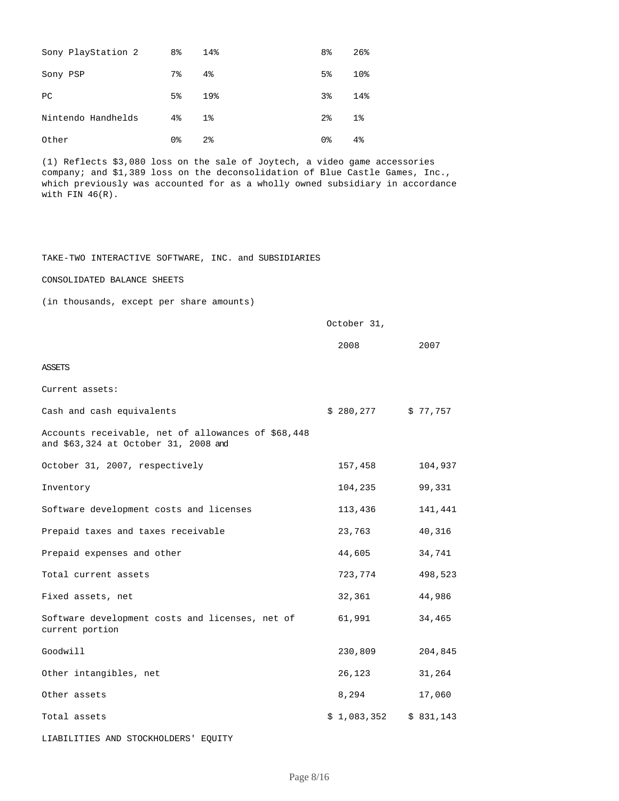| Sony PlayStation 2 | 8 <sup>°</sup> | 14%            | 8 <sup>°</sup> | 26%            |
|--------------------|----------------|----------------|----------------|----------------|
| Sony PSP           | 7%             | 4%             | 5%             | 10%            |
| PC                 | 5 <sup>8</sup> | 19%            | 3%             | 14%            |
| Nintendo Handhelds | 4%             | $1\%$          | $2\,$          | 1 <sup>°</sup> |
| Other              | 0%             | 2 <sup>8</sup> | 0%             | 4 <sup>°</sup> |

(1) Reflects \$3,080 loss on the sale of Joytech, a video game accessories company; and \$1,389 loss on the deconsolidation of Blue Castle Games, Inc., which previously was accounted for as a wholly owned subsidiary in accordance with FIN  $46(R)$ .

### TAKE-TWO INTERACTIVE SOFTWARE, INC. and SUBSIDIARIES

CONSOLIDATED BALANCE SHEETS

(in thousands, except per share amounts)

|                                                                                            | October 31,             |         |
|--------------------------------------------------------------------------------------------|-------------------------|---------|
|                                                                                            | 2008                    | 2007    |
| <b>ASSETS</b>                                                                              |                         |         |
| Current assets:                                                                            |                         |         |
| Cash and cash equivalents                                                                  | $$280,277$ $$77,757$    |         |
| Accounts receivable, net of allowances of \$68,448<br>and \$63,324 at October 31, 2008 and |                         |         |
| October 31, 2007, respectively                                                             | 157,458                 | 104,937 |
| Inventory                                                                                  | 104,235                 | 99,331  |
| Software development costs and licenses                                                    | 113,436                 | 141,441 |
| Prepaid taxes and taxes receivable                                                         | 23,763                  | 40,316  |
| Prepaid expenses and other                                                                 | 44,605                  | 34,741  |
| Total current assets                                                                       | 723,774                 | 498,523 |
| Fixed assets, net                                                                          | 32,361                  | 44,986  |
| Software development costs and licenses, net of<br>current portion                         | 61,991                  | 34,465  |
| Goodwill                                                                                   | 230,809                 | 204,845 |
| Other intangibles, net                                                                     | 26,123                  | 31,264  |
| Other assets                                                                               | 8,294                   | 17,060  |
| Total assets                                                                               | $$1,083,352$ $$831,143$ |         |

LIABILITIES AND STOCKHOLDERS' EQUITY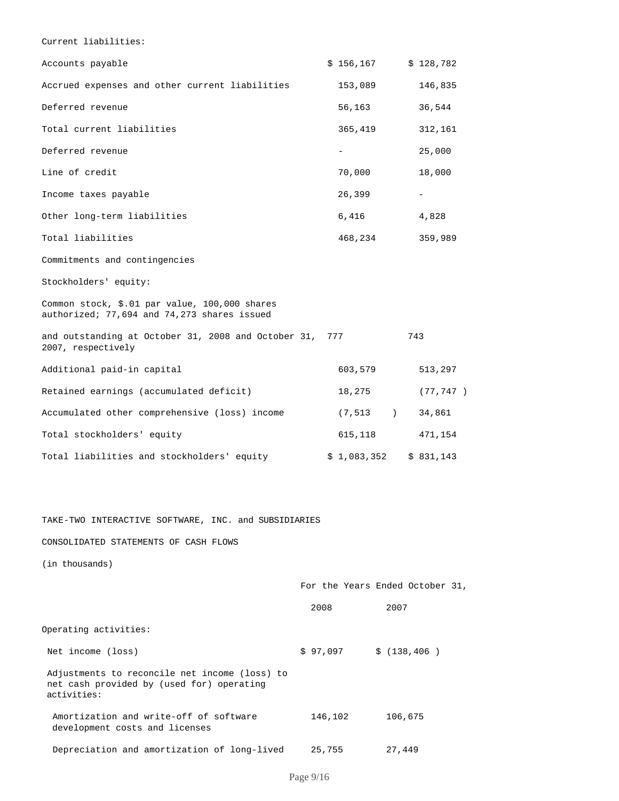Current liabilities:

| Accounts payable                                                                             | \$156,167   | \$128,782                                                 |
|----------------------------------------------------------------------------------------------|-------------|-----------------------------------------------------------|
| Accrued expenses and other current liabilities                                               | 153,089     | 146,835                                                   |
| Deferred revenue                                                                             | 56,163      | 36,544                                                    |
| Total current liabilities                                                                    | 365,419     | 312,161                                                   |
| Deferred revenue                                                                             | $-$         | 25,000                                                    |
| Line of credit                                                                               | 70,000      | 18,000                                                    |
| Income taxes payable                                                                         | 26,399      |                                                           |
| Other long-term liabilities                                                                  | 6,416       | 4,828                                                     |
| Total liabilities                                                                            | 468,234     | 359,989                                                   |
| Commitments and contingencies                                                                |             |                                                           |
| Stockholders' equity:                                                                        |             |                                                           |
| Common stock, \$.01 par value, 100,000 shares<br>authorized; 77,694 and 74,273 shares issued |             |                                                           |
| and outstanding at October 31, 2008 and October 31,<br>2007, respectively                    | 777         | 743                                                       |
| Additional paid-in capital                                                                   | 603,579     | 513,297                                                   |
| Retained earnings (accumulated deficit)                                                      | 18,275      | (77, 747)                                                 |
| Accumulated other comprehensive (loss) income                                                | (7, 513)    | $\left( \begin{array}{c} 1 \end{array} \right)$<br>34,861 |
| Total stockholders' equity                                                                   | 615,118     | 471,154                                                   |
| Total liabilities and stockholders' equity                                                   | \$1,083,352 | \$831,143                                                 |

TAKE-TWO INTERACTIVE SOFTWARE, INC. and SUBSIDIARIES

### CONSOLIDATED STATEMENTS OF CASH FLOWS

(in thousands)

|                                                                                                           |                        | For the Years Ended October 31, |
|-----------------------------------------------------------------------------------------------------------|------------------------|---------------------------------|
|                                                                                                           | 2008                   | 2007                            |
| Operating activities:                                                                                     |                        |                                 |
| Net income (loss)                                                                                         | $$97,097$ $$(138,406)$ |                                 |
| Adjustments to reconcile net income (loss) to<br>net cash provided by (used for) operating<br>activities: |                        |                                 |
| Amortization and write-off of software<br>development costs and licenses                                  | 146,102                | 106,675                         |
| Depreciation and amortization of long-lived                                                               | 25,755                 | 27,449                          |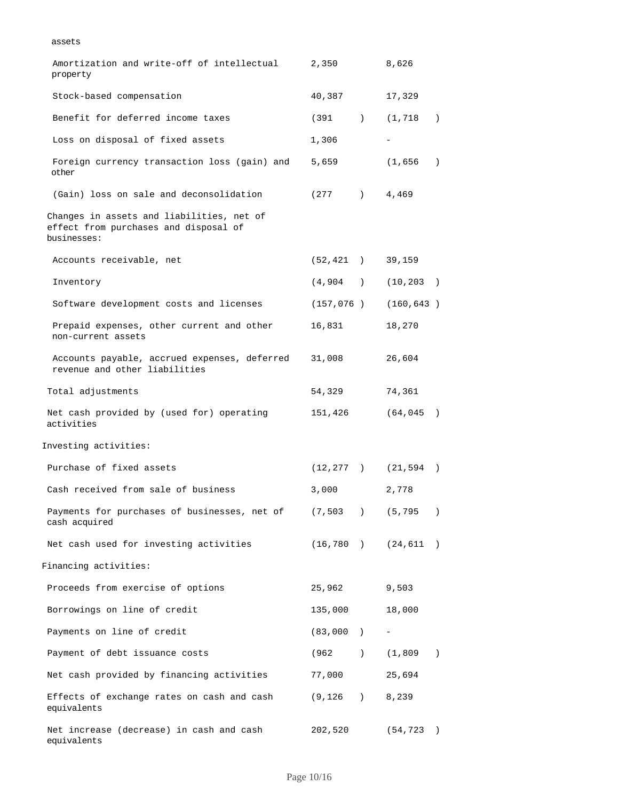assets

| Amortization and write-off of intellectual<br>property                                            | 2,350                     | 8,626                   |
|---------------------------------------------------------------------------------------------------|---------------------------|-------------------------|
| Stock-based compensation                                                                          | 40,387                    | 17,329                  |
| Benefit for deferred income taxes                                                                 | (391                      | (1, 718)<br>$\lambda$   |
| Loss on disposal of fixed assets                                                                  | 1,306                     |                         |
| Foreign currency transaction loss (gain) and<br>other                                             | 5,659                     | (1, 656)                |
| (Gain) loss on sale and deconsolidation                                                           | $(277)$ $4,469$           |                         |
| Changes in assets and liabilities, net of<br>effect from purchases and disposal of<br>businesses: |                           |                         |
| Accounts receivable, net                                                                          | (52, 421)                 | 39,159                  |
| Inventory                                                                                         |                           | $(4,904)$ $(10,203)$    |
| Software development costs and licenses                                                           | (157, 076)                | (160, 643)              |
| Prepaid expenses, other current and other<br>non-current assets                                   | 16,831                    | 18,270                  |
| Accounts payable, accrued expenses, deferred<br>revenue and other liabilities                     | 31,008                    | 26,604                  |
| Total adjustments                                                                                 | 54,329                    | 74,361                  |
| Net cash provided by (used for) operating<br>activities                                           | 151,426                   | (64, 045)               |
| Investing activities:                                                                             |                           |                         |
| Purchase of fixed assets                                                                          |                           | $(12, 277)$ $(21, 594)$ |
| Cash received from sale of business                                                               | 3,000                     | 2,778                   |
| Payments for purchases of businesses, net of<br>cash acquired                                     | (7, 503)<br>$\rightarrow$ | (5, 795)                |
| Net cash used for investing activities                                                            |                           | $(16, 780)$ $(24, 611)$ |
| Financing activities:                                                                             |                           |                         |
| Proceeds from exercise of options                                                                 | 25,962                    | 9,503                   |
| Borrowings on line of credit                                                                      | 135,000                   | 18,000                  |
| Payments on line of credit                                                                        | (83,000)                  |                         |
| Payment of debt issuance costs                                                                    |                           | $(962)$ $(1,809)$       |
| Net cash provided by financing activities                                                         | 77,000                    | 25,694                  |
| Effects of exchange rates on cash and cash<br>equivalents                                         | $(9, 126)$ 8, 239         |                         |
| Net increase (decrease) in cash and cash<br>equivalents                                           | 202,520                   | (54, 723)               |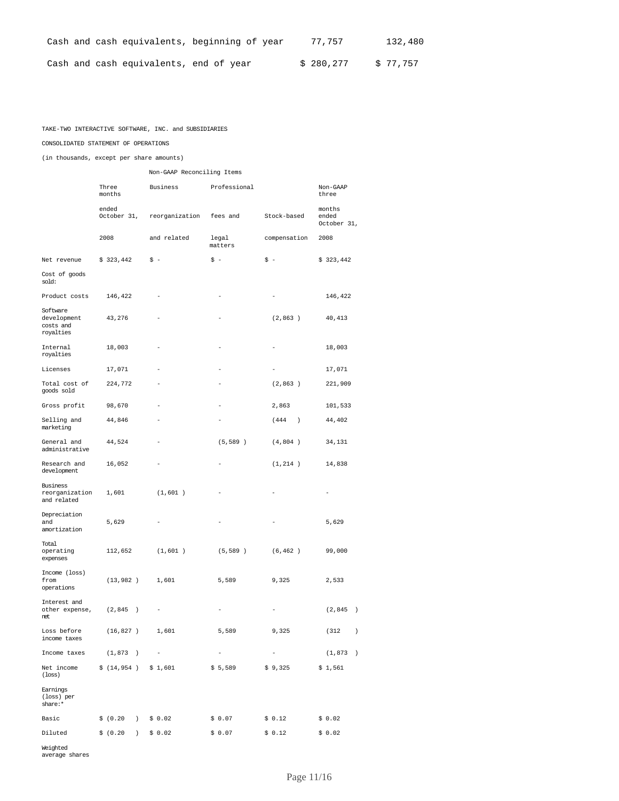|  |                                        | Cash and cash equivalents, beginning of year | 77.757    | 132,480  |
|--|----------------------------------------|----------------------------------------------|-----------|----------|
|  | Cash and cash equivalents, end of year |                                              | \$280,277 | \$77.757 |

### TAKE-TWO INTERACTIVE SOFTWARE, INC. and SUBSIDIARIES

### CONSOLIDATED STATEMENT OF OPERATIONS

(in thousands, except per share amounts)

|                                                                 |                           | Non-GAAP Reconciling Items |                   |                     |                                |  |  |  |  |  |  |  |
|-----------------------------------------------------------------|---------------------------|----------------------------|-------------------|---------------------|--------------------------------|--|--|--|--|--|--|--|
|                                                                 | Three<br>months           | Business                   |                   | Non-GAAP<br>three   |                                |  |  |  |  |  |  |  |
|                                                                 | ended<br>October 31,      | reorganization             | fees and          | Stock-based         | months<br>ended<br>October 31, |  |  |  |  |  |  |  |
|                                                                 | 2008                      | and related                | legal<br>matters  | compensation        | 2008                           |  |  |  |  |  |  |  |
| Net revenue                                                     | \$323,442                 | \$ -                       | $s -$             | \$ -                | \$323,442                      |  |  |  |  |  |  |  |
| Cost of goods<br>sold:                                          |                           |                            |                   |                     |                                |  |  |  |  |  |  |  |
| Product costs                                                   | 146,422                   |                            |                   |                     | 146,422                        |  |  |  |  |  |  |  |
| Software<br>development<br>costs and<br>royalties               | 43,276                    |                            |                   | (2, 863)            | 40,413                         |  |  |  |  |  |  |  |
| Internal<br>royalties                                           | 18,003                    |                            |                   |                     | 18,003                         |  |  |  |  |  |  |  |
| Licenses                                                        | 17,071                    |                            |                   |                     | 17,071                         |  |  |  |  |  |  |  |
| Total cost of<br>qoods sold                                     | 224,772                   |                            |                   | (2, 863)            | 221,909                        |  |  |  |  |  |  |  |
| Gross profit                                                    | 98,670                    |                            |                   | 2,863               | 101,533                        |  |  |  |  |  |  |  |
| Selling and<br>marketing                                        | 44,846                    |                            |                   | (444)<br>$\lambda$  | 44,402                         |  |  |  |  |  |  |  |
| General and<br>administrative                                   | 44,524                    |                            | (5, 589)          | (4, 804)            | 34,131                         |  |  |  |  |  |  |  |
| Research and<br>development                                     | 16,052                    |                            |                   | (1, 214)            | 14,838                         |  |  |  |  |  |  |  |
| Business<br>reorganization<br>and related                       | 1,601                     | (1,601)                    |                   |                     |                                |  |  |  |  |  |  |  |
| Depreciation<br>and<br>amortization                             | 5,629                     |                            |                   |                     | 5,629                          |  |  |  |  |  |  |  |
| Total<br>operating<br>expenses                                  | 112,652                   | (1,601)                    | (5, 589)          | (6, 462)            | 99,000                         |  |  |  |  |  |  |  |
| Income (loss)<br>from<br>operations                             | (13, 982)                 | 1,601                      | 5,589             | 9,325               | 2,533                          |  |  |  |  |  |  |  |
| Interest and<br>other expense,<br>net                           | (2, 845)<br>$\rightarrow$ |                            |                   |                     | (2, 845)<br>$\rightarrow$      |  |  |  |  |  |  |  |
| Loss before<br>income taxes                                     | $(16,827)$ 1,601          |                            | 5,589             | 9,325               | (312)<br>$\rightarrow$         |  |  |  |  |  |  |  |
| Income taxes $(1, 873)$                                         |                           |                            | $\qquad \qquad -$ | $\bar{\phantom{a}}$ | (1,873)<br>$\rightarrow$       |  |  |  |  |  |  |  |
| Net income $\frac{1}{2}$ (14,954) $\frac{1}{2}$ 1,601<br>(loss) |                           |                            | \$5,589           | \$9,325             | \$1,561                        |  |  |  |  |  |  |  |
| Earnings<br>(loss) per<br>share:*                               |                           |                            |                   |                     |                                |  |  |  |  |  |  |  |
| Basic                                                           | \$ (0.20)                 | \$0.02                     | \$ 0.07           | \$0.12              | \$0.02                         |  |  |  |  |  |  |  |
| Diluted                                                         | \$ (0.20 )                | \$0.02                     | \$0.07            | \$0.12              | \$0.02                         |  |  |  |  |  |  |  |

Weighted average shares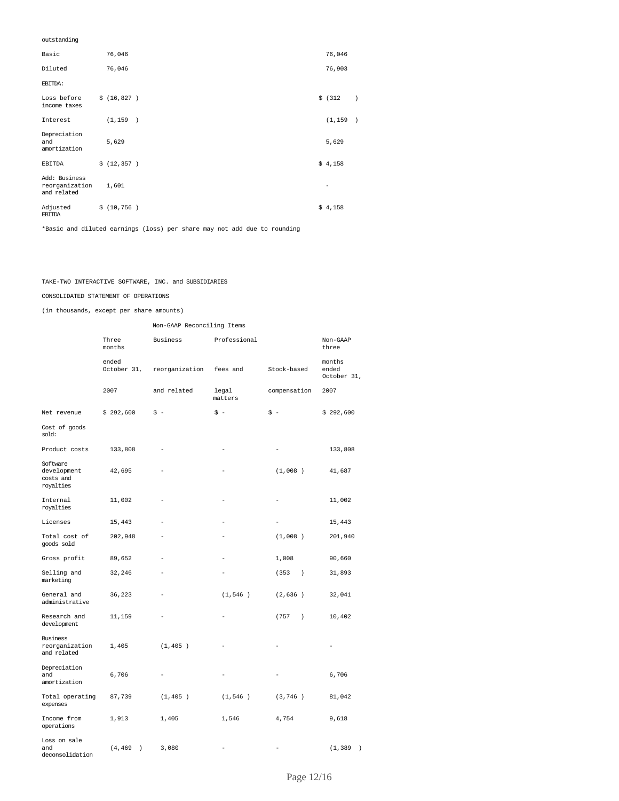### outstanding

| Basic                                          | 76,046      | 76,046                   |
|------------------------------------------------|-------------|--------------------------|
| Diluted                                        | 76,046      | 76,903                   |
| EBITDA:                                        |             |                          |
| Loss before<br>income taxes                    | \$(16, 827) | \$ (312)                 |
| Interest                                       | (1, 159)    | (1, 159)                 |
| Depreciation<br>and<br>amortization            | 5,629       | 5,629                    |
| EBITDA                                         | \$(12, 357) | \$4,158                  |
| Add: Business<br>reorganization<br>and related | 1,601       | $\overline{\phantom{a}}$ |
| Adjusted<br><b>EBITDA</b>                      | \$(10, 756) | \$4,158                  |

\*Basic and diluted earnings (loss) per share may not add due to rounding

### TAKE-TWO INTERACTIVE SOFTWARE, INC. and SUBSIDIARIES

### CONSOLIDATED STATEMENT OF OPERATIONS

(in thousands, except per share amounts)

|                                                   |                           | Non-GAAP Reconciling Items |                  |                          |                                |  |  |  |  |  |
|---------------------------------------------------|---------------------------|----------------------------|------------------|--------------------------|--------------------------------|--|--|--|--|--|
|                                                   | Three<br>months           | Professional<br>Business   |                  |                          | Non-GAAP<br>three              |  |  |  |  |  |
|                                                   | ended<br>October 31,      | reorganization<br>fees and |                  | Stock-based              | months<br>ended<br>October 31, |  |  |  |  |  |
|                                                   | 2007                      | and related                | legal<br>matters | compensation             | 2007                           |  |  |  |  |  |
| Net revenue                                       | \$292,600                 | \$ -                       | $$ -$            | \$ -                     | \$292,600                      |  |  |  |  |  |
| Cost of goods<br>sold:                            |                           |                            |                  |                          |                                |  |  |  |  |  |
| Product costs                                     | 133,808                   |                            |                  |                          | 133,808                        |  |  |  |  |  |
| Software<br>development<br>costs and<br>royalties | 42,695                    |                            |                  | (1,008)                  | 41,687                         |  |  |  |  |  |
| Internal<br>royalties                             | 11,002                    |                            |                  |                          | 11,002                         |  |  |  |  |  |
| Licenses                                          | 15,443                    |                            |                  |                          | 15,443                         |  |  |  |  |  |
| Total cost of<br>goods sold                       | 202,948                   |                            |                  | (1,008)                  | 201,940                        |  |  |  |  |  |
| Gross profit                                      | 89,652                    |                            |                  | 1,008                    | 90,660                         |  |  |  |  |  |
| Selling and<br>marketing                          | 32,246                    |                            |                  | (353)<br>$\lambda$       | 31,893                         |  |  |  |  |  |
| General and<br>administrative                     | 36,223                    |                            | (1, 546)         | (2,636)                  | 32,041                         |  |  |  |  |  |
| Research and<br>development                       | 11,159                    |                            |                  | (757<br>$\left( \right)$ | 10,402                         |  |  |  |  |  |
| <b>Business</b><br>reorganization<br>and related  | 1,405                     | (1, 405)                   |                  |                          |                                |  |  |  |  |  |
| Depreciation<br>and<br>amortization               | 6,706                     | $\overline{\phantom{0}}$   |                  |                          | 6,706                          |  |  |  |  |  |
| Total operating<br>expenses                       | 87,739                    | (1, 405)                   | (1, 546)         | (3, 746)                 | 81,042                         |  |  |  |  |  |
| Income from<br>operations                         | 1,913                     | 1,405                      | 1,546            | 4,754                    | 9,618                          |  |  |  |  |  |
| Loss on sale<br>and<br>deconsolidation            | (4, 469)<br>$\rightarrow$ | 3,080                      |                  |                          | (1, 389)<br>$\lambda$          |  |  |  |  |  |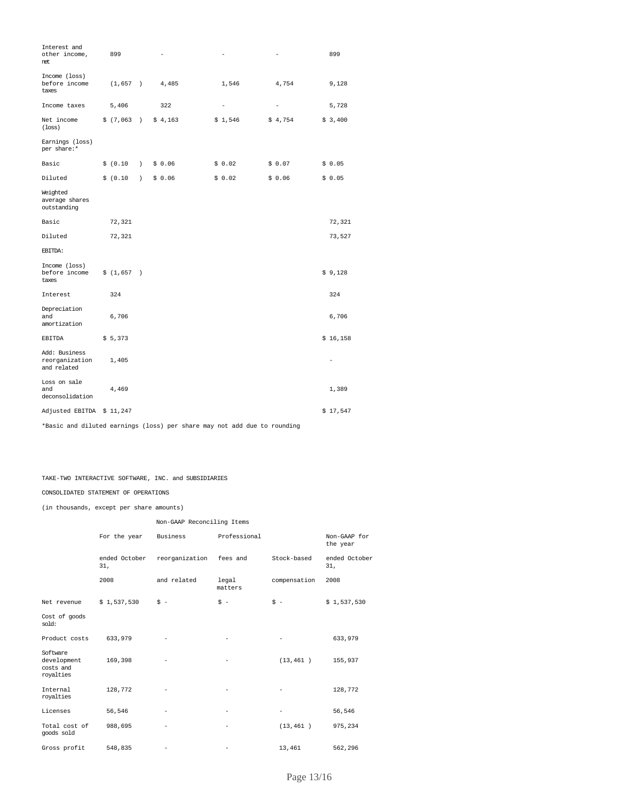| Interest and<br>other income,<br>net.          | 899        |                  |         |                   | -                 | 899      |
|------------------------------------------------|------------|------------------|---------|-------------------|-------------------|----------|
| Income (loss)<br>before income<br>taxes        | (1, 657)   |                  | 4,485   | 1,546             | 4,754             | 9,128    |
| Income taxes                                   | 5,406      |                  | 322     | $\qquad \qquad -$ | $\qquad \qquad -$ | 5,728    |
| Net income<br>$($ loss $)$                     | \$ (7,063) | $\rightarrow$    | \$4,163 | \$1,546           | \$4,754           | \$3,400  |
| Earnings (loss)<br>per share:*                 |            |                  |         |                   |                   |          |
| Basic                                          | \$ (0.10)  | $\lambda$        | \$0.06  | \$0.02            | \$0.07            | \$0.05   |
| Diluted                                        | \$ (0.10)  | $\left( \right)$ | \$0.06  | \$0.02            | \$0.06            | \$0.05   |
| Weighted<br>average shares<br>outstanding      |            |                  |         |                   |                   |          |
| Basic                                          | 72,321     |                  |         |                   |                   | 72,321   |
| Diluted                                        | 72,321     |                  |         |                   |                   | 73,527   |
| EBITDA:                                        |            |                  |         |                   |                   |          |
| Income (loss)<br>before income<br>taxes        | \$(1,657)  |                  |         |                   |                   | \$9,128  |
| Interest                                       | 324        |                  |         |                   |                   | 324      |
| Depreciation<br>and<br>amortization            | 6,706      |                  |         |                   |                   | 6,706    |
| <b>EBITDA</b>                                  | \$5,373    |                  |         |                   |                   | \$16,158 |
| Add: Business<br>reorganization<br>and related | 1,405      |                  |         |                   |                   |          |
| Loss on sale<br>and<br>deconsolidation         | 4,469      |                  |         |                   |                   | 1,389    |
| Adjusted EBITDA                                | \$11,247   |                  |         |                   |                   | \$17,547 |

\*Basic and diluted earnings (loss) per share may not add due to rounding

TAKE-TWO INTERACTIVE SOFTWARE, INC. and SUBSIDIARIES

#### CONSOLIDATED STATEMENT OF OPERATIONS

(in thousands, except per share amounts)

|                                                   |                      | Non-GAAP Reconciling Items |                          |                          |                          |  |  |  |  |  |  |
|---------------------------------------------------|----------------------|----------------------------|--------------------------|--------------------------|--------------------------|--|--|--|--|--|--|
|                                                   | For the year         | Business                   | Professional             |                          | Non-GAAP for<br>the year |  |  |  |  |  |  |
|                                                   | ended October<br>31, | reorganization             | fees and                 | Stock-based              | ended October<br>31,     |  |  |  |  |  |  |
|                                                   | 2008                 | and related                | legal<br>matters         | compensation             | 2008                     |  |  |  |  |  |  |
| Net revenue                                       | \$1,537,530          | $S -$                      | $$ -$                    | $S -$                    | \$1,537,530              |  |  |  |  |  |  |
| Cost of goods<br>$sold$ :                         |                      |                            |                          |                          |                          |  |  |  |  |  |  |
| Product costs                                     | 633,979              | $\overline{\phantom{a}}$   | -                        | -                        | 633,979                  |  |  |  |  |  |  |
| Software<br>development<br>costs and<br>royalties | 169,398              |                            |                          | (13, 461)                | 155,937                  |  |  |  |  |  |  |
| Internal<br>royalties                             | 128,772              |                            |                          |                          | 128,772                  |  |  |  |  |  |  |
| Licenses                                          | 56,546               | $\overline{\phantom{a}}$   | $\overline{\phantom{a}}$ | $\overline{\phantom{0}}$ | 56,546                   |  |  |  |  |  |  |
| Total cost of<br>qoods sold                       | 988,695              | -                          |                          | (13, 461)                | 975,234                  |  |  |  |  |  |  |
| Gross profit                                      | 548,835              |                            |                          | 13,461                   | 562,296                  |  |  |  |  |  |  |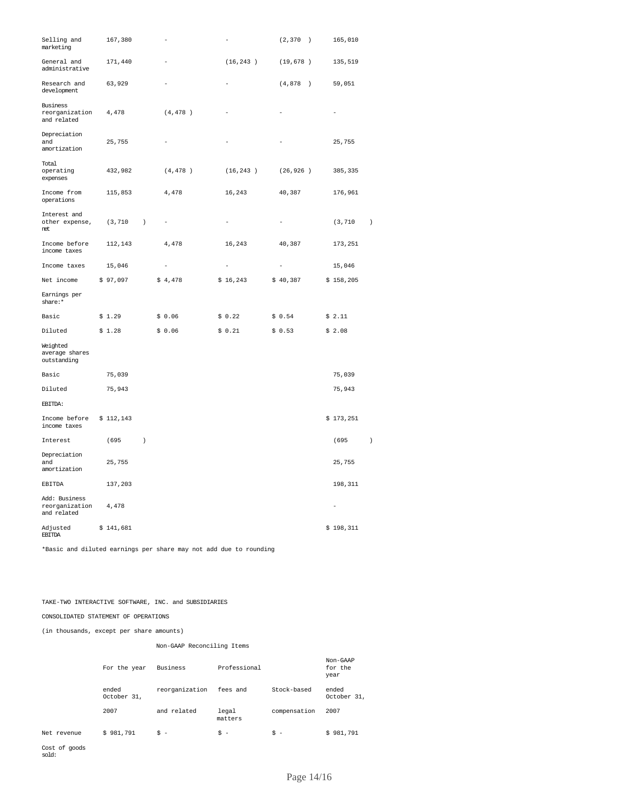| Selling and<br>marketing                       | 167,380   |                  |          | $\overline{\phantom{0}}$ | (2, 370)                 | $\rightarrow$ | 165,010   |           |
|------------------------------------------------|-----------|------------------|----------|--------------------------|--------------------------|---------------|-----------|-----------|
| General and<br>administrative                  | 171,440   |                  |          | (16, 243)                | (19, 678)                |               | 135,519   |           |
| Research and<br>development                    | 63,929    |                  |          | $\equiv$                 | (4, 878)                 | $\rightarrow$ | 59,051    |           |
| Business<br>reorganization<br>and related      | 4,478     |                  | (4, 478) |                          |                          |               |           |           |
| Depreciation<br>and<br>amortization            | 25,755    |                  |          |                          |                          |               | 25,755    |           |
| Total<br>operating<br>expenses                 | 432,982   |                  | (4, 478) | (16, 243)                | (26, 926)                |               | 385,335   |           |
| Income from<br>operations                      | 115,853   |                  | 4,478    | 16,243                   | 40,387                   |               | 176,961   |           |
| Interest and<br>other expense,<br>net          | (3, 710   | $\lambda$        |          |                          | $\overline{\phantom{0}}$ |               | (3, 710   | $\,$ )    |
| Income before<br>income taxes                  | 112,143   |                  | 4,478    | 16,243                   | 40,387                   |               | 173,251   |           |
| Income taxes                                   | 15,046    |                  |          | $\equiv$                 | $\overline{\phantom{a}}$ |               | 15,046    |           |
| Net income                                     | \$97,097  |                  | \$4,478  | \$16,243                 | \$40,387                 |               | \$158,205 |           |
| Earnings per<br>share:*                        |           |                  |          |                          |                          |               |           |           |
| Basic                                          | \$1.29    |                  | \$0.06   | \$0.22                   | \$0.54                   |               | \$2.11    |           |
| Diluted                                        | \$1.28    |                  | \$0.06   | \$0.21                   | \$0.53                   |               | \$2.08    |           |
| Weighted<br>average shares<br>outstanding      |           |                  |          |                          |                          |               |           |           |
| Basic                                          | 75,039    |                  |          |                          |                          |               | 75,039    |           |
| Diluted                                        | 75,943    |                  |          |                          |                          |               | 75,943    |           |
| EBITDA:                                        |           |                  |          |                          |                          |               |           |           |
| Income before<br>income taxes                  | \$112,143 |                  |          |                          |                          |               | \$173,251 |           |
| Interest                                       | (695)     | $\left( \right)$ |          |                          |                          |               | (695      | $\lambda$ |
| Depreciation<br>and<br>amortization            | 25,755    |                  |          |                          |                          |               | 25,755    |           |
| EBITDA                                         | 137,203   |                  |          |                          |                          |               | 198,311   |           |
| Add: Business<br>reorganization<br>and related | 4,478     |                  |          |                          |                          |               |           |           |
| Adjusted<br><b>EBITDA</b>                      | \$141,681 |                  |          |                          |                          |               | \$198,311 |           |

\*Basic and diluted earnings per share may not add due to rounding

### TAKE-TWO INTERACTIVE SOFTWARE, INC. and SUBSIDIARIES

CONSOLIDATED STATEMENT OF OPERATIONS

(in thousands, except per share amounts)

### Non-GAAP Reconciling Items

|             | For the year         | Business       | Professional     |              | Non-GAAP<br>for the<br>year |
|-------------|----------------------|----------------|------------------|--------------|-----------------------------|
|             | ended<br>October 31, | reorganization | fees and         | Stock-based  | ended<br>October 31,        |
|             | 2007                 | and related    | legal<br>matters | compensation | 2007                        |
| Net revenue | \$981,791            | $S -$          | $S -$            | $s -$        | \$981,791                   |

Cost of goods sold: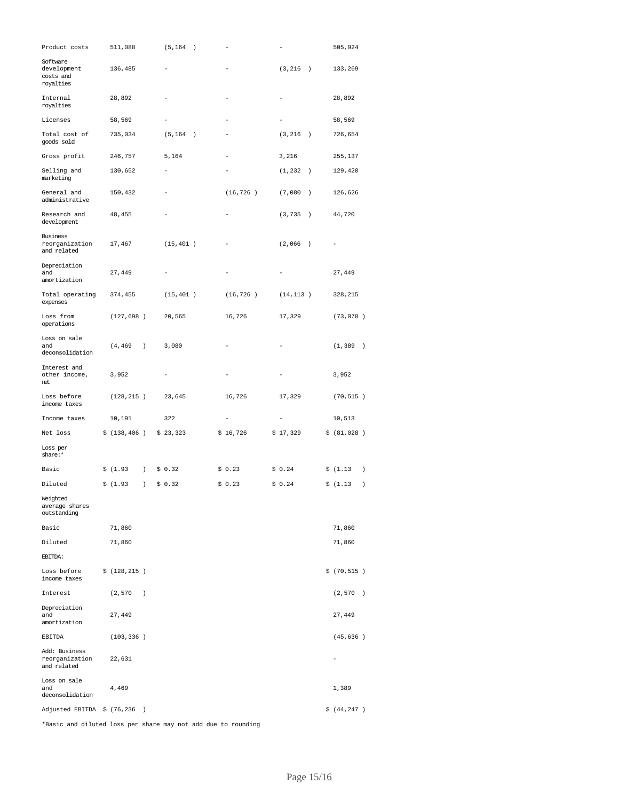| Product costs                                     | 511,088      |                  | (5, 164)  | $\rightarrow$ |           |                           |               | 505,924        |                  |
|---------------------------------------------------|--------------|------------------|-----------|---------------|-----------|---------------------------|---------------|----------------|------------------|
| Software<br>development<br>costs and<br>royalties | 136,485      |                  |           |               |           | (3, 216)<br>$\rightarrow$ |               | 133,269        |                  |
| Internal<br>royalties                             | 28,892       |                  |           |               |           |                           |               | 28,892         |                  |
| Licenses                                          | 58,569       |                  |           |               |           |                           |               | 58,569         |                  |
| Total cost of<br>goods sold                       | 735,034      |                  | (5, 164)  | $\rightarrow$ |           | (3, 216)<br>$\rightarrow$ |               | 726,654        |                  |
| Gross profit                                      | 246,757      |                  | 5,164     |               |           | 3,216                     |               | 255,137        |                  |
| Selling and<br>marketing                          | 130,652      |                  |           |               |           | (1, 232)                  | $\rightarrow$ | 129,420        |                  |
| General and<br>administrative                     | 150,432      |                  |           |               | (16, 726) | (7,080)                   | $\rightarrow$ | 126,626        |                  |
| Research and<br>development                       | 48,455       |                  |           |               |           | (3, 735)<br>$\rightarrow$ |               | 44,720         |                  |
| Business<br>reorganization<br>and related         | 17,467       |                  | (15, 401) |               |           | (2,066)<br>$\rightarrow$  |               |                |                  |
| Depreciation<br>and<br>amortization               | 27,449       |                  |           |               |           |                           |               | 27,449         |                  |
| Total operating<br>expenses                       | 374,455      |                  | (15, 401) |               | (16, 726) | (14, 113)                 |               | 328,215        |                  |
| Loss from<br>operations                           | (127, 698)   |                  | 20,565    |               | 16,726    | 17,329                    |               | (73, 078)      |                  |
| Loss on sale                                      |              |                  |           |               |           |                           |               |                |                  |
| and<br>deconsolidation                            | (4, 469)     | $\left( \right)$ | 3,080     |               |           |                           |               | (1, 389)       | $\rightarrow$    |
| Interest and<br>other income,<br>net              | 3,952        |                  |           |               |           |                           |               | 3,952          |                  |
| Loss before<br>income taxes                       | (128, 215)   |                  | 23,645    |               | 16,726    | 17,329                    |               | (70, 515)      |                  |
| Income taxes                                      | 10,191       |                  | 322       |               |           | -                         |               | 10,513         |                  |
| Net loss                                          | \$(138, 406) |                  | \$23,323  |               | \$16,726  | \$17,329                  |               | \$ (81,028 )   |                  |
| Loss per<br>share:*                               |              |                  |           |               |           |                           |               |                |                  |
| Basic                                             | \$(1.93)     | $\left( \right)$ | \$0.32    |               | \$0.23    | \$0.24                    |               | \$(1.13)       | $\left( \right)$ |
| Diluted                                           | \$(1.93)     | $\left( \right)$ | \$0.32    |               | \$0.23    | \$0.24                    |               | \$(1.13)       | $\lambda$        |
| Weighted<br>average shares<br>outstanding         |              |                  |           |               |           |                           |               |                |                  |
| Basic                                             | 71,860       |                  |           |               |           |                           |               | 71,860         |                  |
| Diluted                                           | 71,860       |                  |           |               |           |                           |               | 71,860         |                  |
| EBITDA:                                           |              |                  |           |               |           |                           |               |                |                  |
| Loss before<br>income taxes                       | \$(128, 215) |                  |           |               |           |                           |               | \$ (70, 515 )  |                  |
| Interest                                          | (2, 570)     | $\rightarrow$    |           |               |           |                           |               | (2, 570)       | $\rightarrow$    |
| Depreciation<br>and<br>amortization               | 27,449       |                  |           |               |           |                           |               | 27,449         |                  |
| EBITDA                                            | (103, 336)   |                  |           |               |           |                           |               | (45, 636)      |                  |
| Add: Business<br>reorganization<br>and related    | 22,631       |                  |           |               |           |                           |               | $\overline{a}$ |                  |
| Loss on sale<br>and<br>deconsolidation            | 4,469        |                  |           |               |           |                           |               | 1,389          |                  |
| Adjusted EBITDA $$$ (76,236)                      |              |                  |           |               |           |                           |               | \$ (44, 247 )  |                  |

\*Basic and diluted loss per share may not add due to rounding